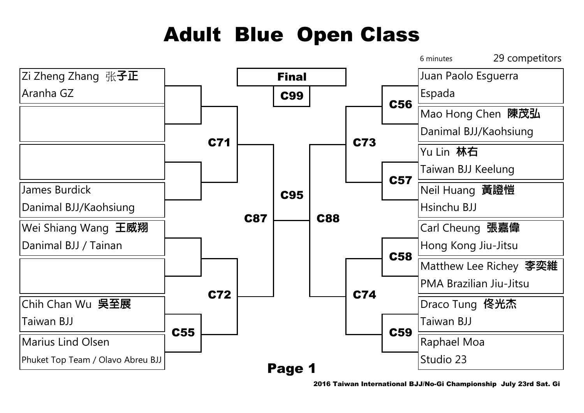## Adult Blue Open Class